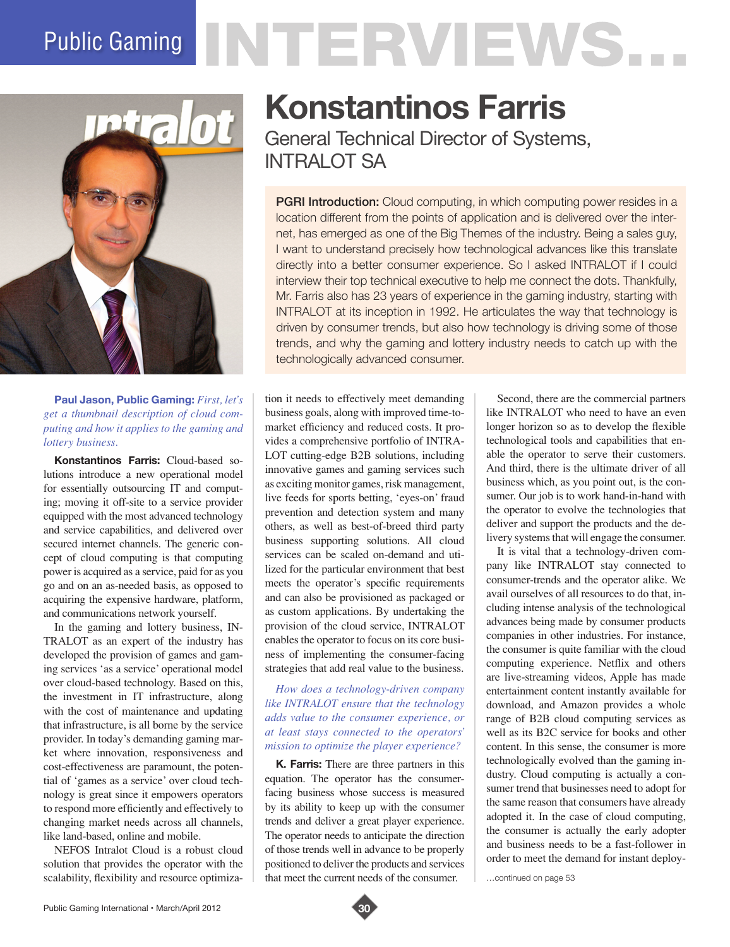# Public Gaming NTERVIEWS.



**Paul Jason, Public Gaming:** *First, let's get a thumbnail description of cloud computing and how it applies to the gaming and lottery business.*

**Konstantinos Farris:** Cloud-based solutions introduce a new operational model for essentially outsourcing IT and computing; moving it off-site to a service provider equipped with the most advanced technology and service capabilities, and delivered over secured internet channels. The generic concept of cloud computing is that computing power is acquired as a service, paid for as you go and on an as-needed basis, as opposed to acquiring the expensive hardware, platform, and communications network yourself.

In the gaming and lottery business, IN-TRALOT as an expert of the industry has developed the provision of games and gaming services 'as a service' operational model over cloud-based technology. Based on this, the investment in IT infrastructure, along with the cost of maintenance and updating that infrastructure, is all borne by the service provider. In today's demanding gaming market where innovation, responsiveness and cost-effectiveness are paramount, the potential of 'games as a service' over cloud technology is great since it empowers operators to respond more efficiently and effectively to changing market needs across all channels, like land-based, online and mobile.

NEFOS Intralot Cloud is a robust cloud solution that provides the operator with the scalability, flexibility and resource optimiza-

## **Konstantinos Farris**

General Technical Director of Systems, INTRAI OT SA

**PGRI Introduction:** Cloud computing, in which computing power resides in a location different from the points of application and is delivered over the internet, has emerged as one of the Big Themes of the industry. Being a sales guy, I want to understand precisely how technological advances like this translate directly into a better consumer experience. So I asked INTRALOT if I could interview their top technical executive to help me connect the dots. Thankfully, Mr. Farris also has 23 years of experience in the gaming industry, starting with INTRALOT at its inception in 1992. He articulates the way that technology is driven by consumer trends, but also how technology is driving some of those trends, and why the gaming and lottery industry needs to catch up with the technologically advanced consumer.

tion it needs to effectively meet demanding business goals, along with improved time-tomarket efficiency and reduced costs. It provides a comprehensive portfolio of INTRA-LOT cutting-edge B2B solutions, including innovative games and gaming services such as exciting monitor games, risk management, live feeds for sports betting, 'eyes-on' fraud prevention and detection system and many others, as well as best-of-breed third party business supporting solutions. All cloud services can be scaled on-demand and utilized for the particular environment that best meets the operator's specific requirements and can also be provisioned as packaged or as custom applications. By undertaking the provision of the cloud service, INTRALOT enables the operator to focus on its core business of implementing the consumer-facing strategies that add real value to the business.

#### *How does a technology-driven company like INTRALOT ensure that the technology adds value to the consumer experience, or at least stays connected to the operators' mission to optimize the player experience?*

**K. Farris:** There are three partners in this equation. The operator has the consumerfacing business whose success is measured by its ability to keep up with the consumer trends and deliver a great player experience. The operator needs to anticipate the direction of those trends well in advance to be properly positioned to deliver the products and services that meet the current needs of the consumer.

Second, there are the commercial partners like INTRALOT who need to have an even longer horizon so as to develop the flexible technological tools and capabilities that enable the operator to serve their customers. And third, there is the ultimate driver of all business which, as you point out, is the consumer. Our job is to work hand-in-hand with the operator to evolve the technologies that deliver and support the products and the delivery systems that will engage the consumer.

It is vital that a technology-driven company like INTRALOT stay connected to consumer-trends and the operator alike. We avail ourselves of all resources to do that, including intense analysis of the technological advances being made by consumer products companies in other industries. For instance, the consumer is quite familiar with the cloud computing experience. Netflix and others are live-streaming videos, Apple has made entertainment content instantly available for download, and Amazon provides a whole range of B2B cloud computing services as well as its B2C service for books and other content. In this sense, the consumer is more technologically evolved than the gaming industry. Cloud computing is actually a consumer trend that businesses need to adopt for the same reason that consumers have already adopted it. In the case of cloud computing, the consumer is actually the early adopter and business needs to be a fast-follower in order to meet the demand for instant deploy-

…continued on page 53